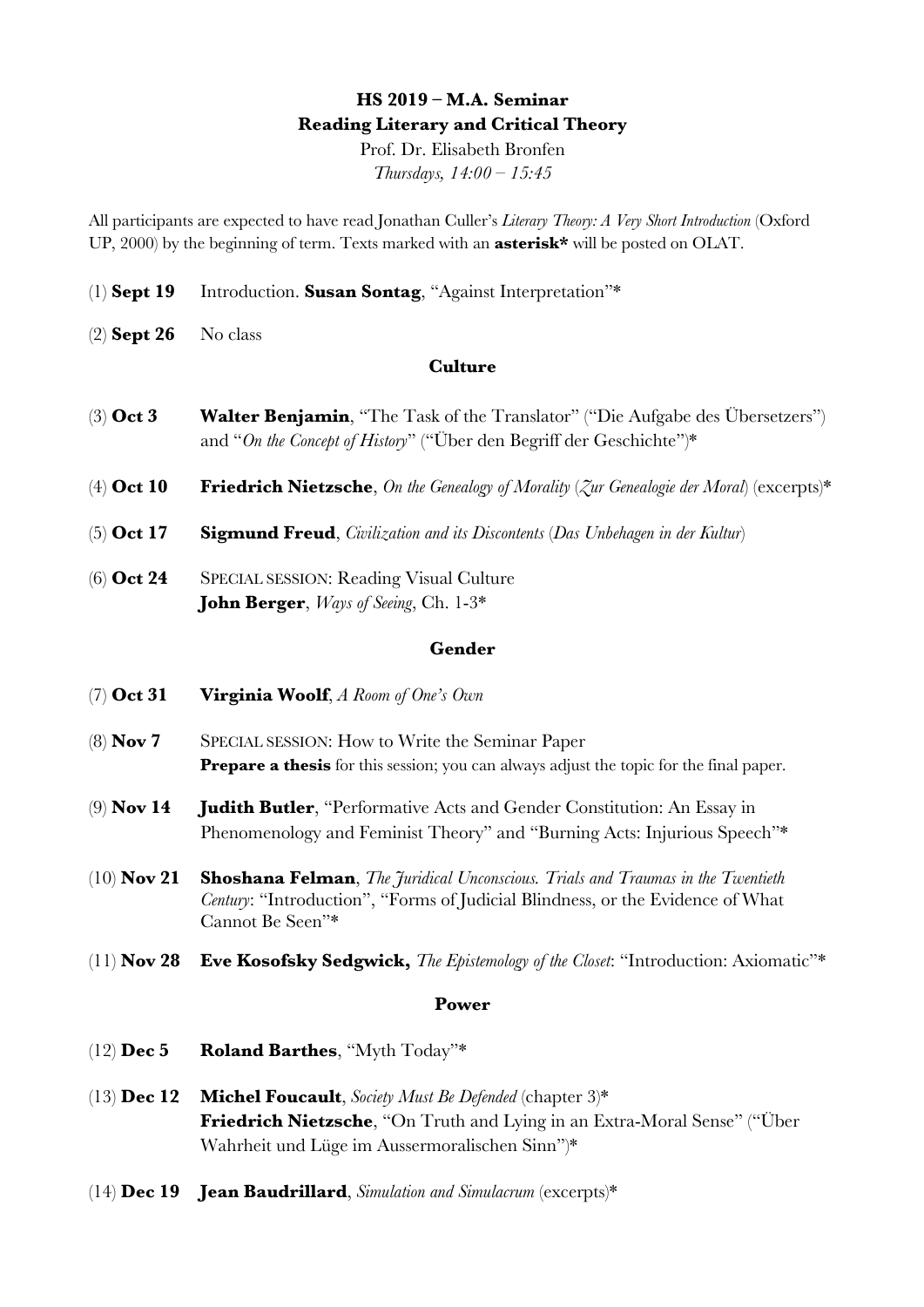# **HS 2019 – M.A. Seminar Reading Literary and Critical Theory**

Prof. Dr. Elisabeth Bronfen *Thursdays, 14:00 – 15:45*

All participants are expected to have read Jonathan Culler's *Literary Theory: A Very Short Introduction* (Oxford UP, 2000) by the beginning of term. Texts marked with an **asterisk\*** will be posted on OLAT.

- (1) **Sept 19** Introduction. **Susan Sontag**, "Against Interpretation"\*
- (2) **Sept 26** No class

# **Culture**

- (3) **Oct 3 Walter Benjamin**, "The Task of the Translator" ("Die Aufgabe des Übersetzers") and "*On the Concept of History*" ("Über den Begriff der Geschichte")\*
- (4) **Oct 10 Friedrich Nietzsche**, *On the Genealogy of Morality* (*Zur Genealogie der Moral*) (excerpts)\*
- (5) **Oct 17 Sigmund Freud**, *Civilization and its Discontents* (*Das Unbehagen in der Kultur*)
- (6) **Oct 24** SPECIAL SESSION: Reading Visual Culture **John Berger**, *Ways of Seeing*, Ch. 1-3\*

#### **Gender**

- (7) **Oct 31 Virginia Woolf**, *A Room of One's Own*
- (8) **Nov 7** SPECIAL SESSION: How to Write the Seminar Paper **Prepare a thesis** for this session; you can always adjust the topic for the final paper.
- (9) **Nov 14 Judith Butler**, "Performative Acts and Gender Constitution: An Essay in Phenomenology and Feminist Theory" and "Burning Acts: Injurious Speech"\*
- (10) **Nov 21 Shoshana Felman**, *The Juridical Unconscious. Trials and Traumas in the Twentieth Century*: "Introduction", "Forms of Judicial Blindness, or the Evidence of What Cannot Be Seen"\*
- (11) **Nov 28 Eve Kosofsky Sedgwick,** *The Epistemology of the Closet*: "Introduction: Axiomatic"\*

### **Power**

- (12) **Dec 5 Roland Barthes**, "Myth Today"\*
- (13) **Dec 12 Michel Foucault**, *Society Must Be Defended* (chapter 3)\* **Friedrich Nietzsche**, "On Truth and Lying in an Extra-Moral Sense" ("Über Wahrheit und Lüge im Aussermoralischen Sinn")\*
- (14) **Dec 19 Jean Baudrillard**, *Simulation and Simulacrum* (excerpts)\*